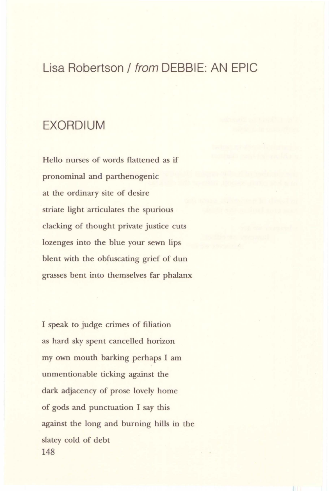## Lisa Robertson/ from DEBBIE: AN EPIC

## EXORDIUM

Hello nurses of words flattened as if pronominal and parthenogenic at the ordinary site of desire striate light articulates the spurious clacking of thought private justice *cuts*  lozenges into the blue your sewn lips blent with the obfuscating grief of dun grasses bent into themselves far phalanx

I speak to judge crimes of filiation as hard sky spent cancelled horizon my own mouth barking perhaps I am unmentionable ticking against the dark adjacency of prose lovely home of gods and punctuation I say this against the long and burning hills in the slatey cold of debt 148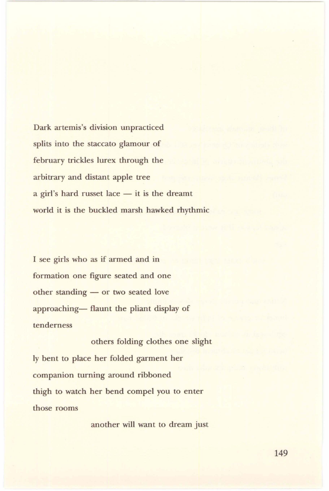Dark artemis's division unpracticed splits into the staccato glamour of february trickles lurex through the arbitrary and distant apple tree  $a$  girl's hard russet lace  $-$  it is the dreamt world it is the buckled marsh hawked rhythmic

I see girls who as if armed and in formation one figure seated and one other standing — or two seated love approaching- flaunt the pliant display of tenderness

others folding clothes one slight ly bent to place her folded garment her companion turning around ribboned thigh to watch her bend compel you to enter those rooms

another will want to dream just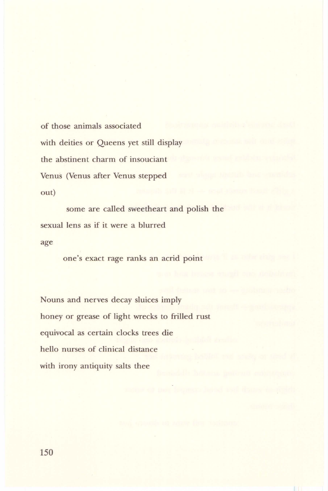of those animals associated with deities or Queens yet still display the abstinent charm of insouciant Venus (Venus after Venus stepped out)

some are called sweetheart and polish the sexual lens as if it were a blurred age

one's exact rage ranks an acrid point

Nouns and nerves decay sluices imply honey or grease of light wrecks to frilled rust equivocal as certain clocks trees die hello nurses of clinical distance with irony antiquity salts thee